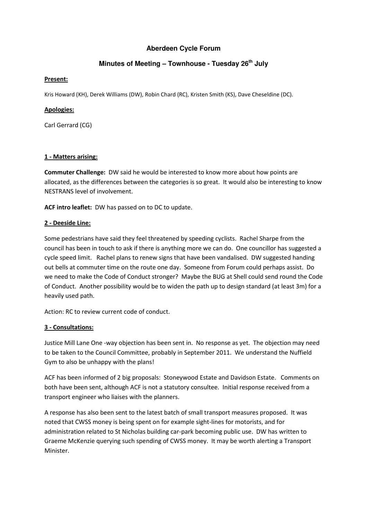## **Aberdeen Cycle Forum**

## **Minutes of Meeting – Townhouse - Tuesday 26th July**

#### Present:

Kris Howard (KH), Derek Williams (DW), Robin Chard (RC), Kristen Smith (KS), Dave Cheseldine (DC).

#### Apologies:

Carl Gerrard (CG)

#### 1 - Matters arising:

Commuter Challenge: DW said he would be interested to know more about how points are allocated, as the differences between the categories is so great. It would also be interesting to know NESTRANS level of involvement.

ACF intro leaflet: DW has passed on to DC to update.

#### 2 - Deeside Line:

Some pedestrians have said they feel threatened by speeding cyclists. Rachel Sharpe from the council has been in touch to ask if there is anything more we can do. One councillor has suggested a cycle speed limit. Rachel plans to renew signs that have been vandalised. DW suggested handing out bells at commuter time on the route one day. Someone from Forum could perhaps assist. Do we need to make the Code of Conduct stronger? Maybe the BUG at Shell could send round the Code of Conduct. Another possibility would be to widen the path up to design standard (at least 3m) for a heavily used path.

Action: RC to review current code of conduct.

### 3 - Consultations:

Justice Mill Lane One -way objection has been sent in. No response as yet. The objection may need to be taken to the Council Committee, probably in September 2011. We understand the Nuffield Gym to also be unhappy with the plans!

ACF has been informed of 2 big proposals: Stoneywood Estate and Davidson Estate. Comments on both have been sent, although ACF is not a statutory consultee. Initial response received from a transport engineer who liaises with the planners.

A response has also been sent to the latest batch of small transport measures proposed. It was noted that CWSS money is being spent on for example sight-lines for motorists, and for administration related to St Nicholas building car-park becoming public use. DW has written to Graeme McKenzie querying such spending of CWSS money. It may be worth alerting a Transport Minister.